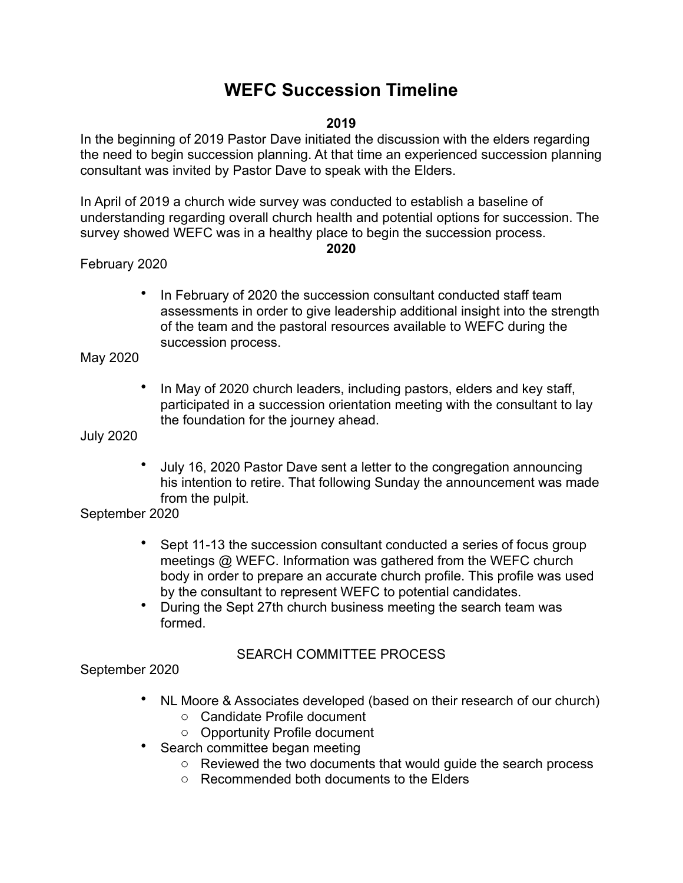# **WEFC Succession Timeline**

#### **2019**

In the beginning of 2019 Pastor Dave initiated the discussion with the elders regarding the need to begin succession planning. At that time an experienced succession planning consultant was invited by Pastor Dave to speak with the Elders.

In April of 2019 a church wide survey was conducted to establish a baseline of understanding regarding overall church health and potential options for succession. The survey showed WEFC was in a healthy place to begin the succession process.

#### **2020**

## February 2020

In February of 2020 the succession consultant conducted staff team assessments in order to give leadership additional insight into the strength of the team and the pastoral resources available to WEFC during the succession process.

## May 2020

• In May of 2020 church leaders, including pastors, elders and key staff, participated in a succession orientation meeting with the consultant to lay the foundation for the journey ahead.

#### July 2020

• July 16, 2020 Pastor Dave sent a letter to the congregation announcing his intention to retire. That following Sunday the announcement was made from the pulpit.

## September 2020

- Sept 11-13 the succession consultant conducted a series of focus group meetings @ WEFC. Information was gathered from the WEFC church body in order to prepare an accurate church profile. This profile was used by the consultant to represent WEFC to potential candidates.
- During the Sept 27th church business meeting the search team was formed.

## SEARCH COMMITTEE PROCESS

## September 2020

- NL Moore & Associates developed (based on their research of our church)
	- o Candidate Profile document
	- o Opportunity Profile document
- Search committee began meeting
	- o Reviewed the two documents that would guide the search process
	- o Recommended both documents to the Elders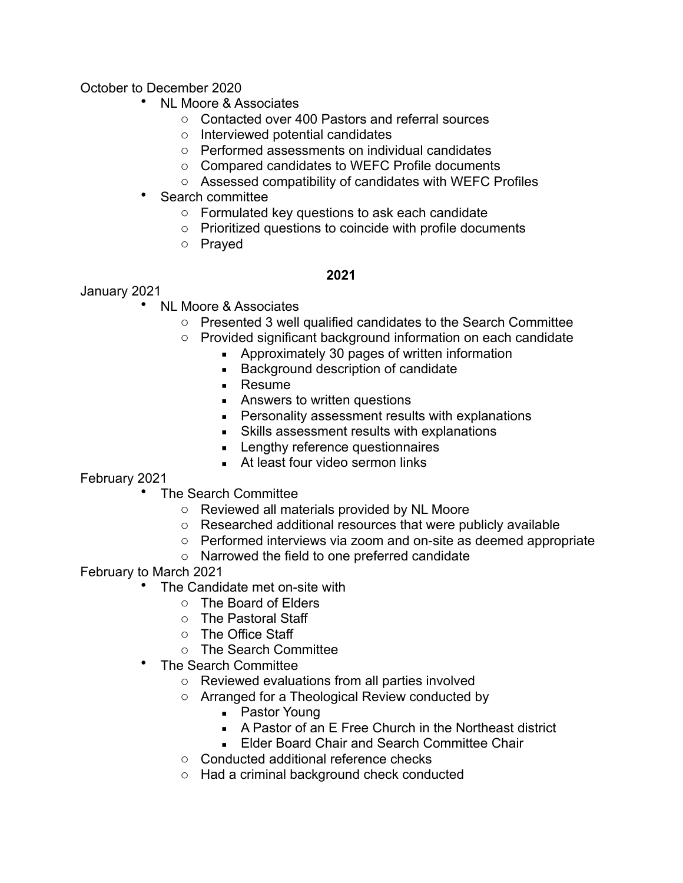October to December 2020

- NL Moore & Associates
	- o Contacted over 400 Pastors and referral sources
	- o Interviewed potential candidates
	- o Performed assessments on individual candidates
	- o Compared candidates to WEFC Profile documents
	- o Assessed compatibility of candidates with WEFC Profiles
- Search committee
	- o Formulated key questions to ask each candidate
	- o Prioritized questions to coincide with profile documents
	- o Prayed

#### **2021**

January 2021

- NL Moore & Associates
	- o Presented 3 well qualified candidates to the Search Committee
	- o Provided significant background information on each candidate
		- **EXEDENGE Approximately 30 pages of written information**
		- Background description of candidate
		- Resume
		- **EXECUTE:** Answers to written questions
		- **Personality assessment results with explanations**
		- Skills assessment results with explanations
		- **EXECUTE:** Lengthy reference questionnaires
		- At least four video sermon links

## February 2021

- The Search Committee
	- o Reviewed all materials provided by NL Moore
	- o Researched additional resources that were publicly available
	- o Performed interviews via zoom and on-site as deemed appropriate
	- o Narrowed the field to one preferred candidate

February to March 2021

- The Candidate met on-site with
	- o The Board of Elders
	- o The Pastoral Staff
	- o The Office Staff
	- o The Search Committee
- The Search Committee
	- o Reviewed evaluations from all parties involved
	- o Arranged for a Theological Review conducted by
		- Pastor Young
		- A Pastor of an E Free Church in the Northeast district
		- **Elder Board Chair and Search Committee Chair**
	- o Conducted additional reference checks
	- o Had a criminal background check conducted